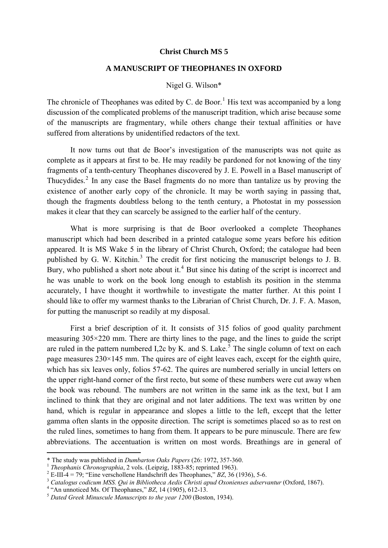### **Christ Church MS 5**

## **A MANUSCRIPT OF THEOPHANES IN OXFORD**

### Nigel G. Wilson\*

The chronicle of Theophanes was edited by C. de Boor.<sup>[1](#page-0-0)</sup> His text was accompanied by a long discussion of the complicated problems of the manuscript tradition, which arise because some of the manuscripts are fragmentary, while others change their textual affinities or have suffered from alterations by unidentified redactors of the text.

It now turns out that de Boor's investigation of the manuscripts was not quite as complete as it appears at first to be. He may readily be pardoned for not knowing of the tiny fragments of a tenth-century Theophanes discovered by J. E. Powell in a Basel manuscript of Thucydides. $<sup>2</sup>$  $<sup>2</sup>$  $<sup>2</sup>$  In any case the Basel fragments do no more than tantalize us by proving the</sup> existence of another early copy of the chronicle. It may be worth saying in passing that, though the fragments doubtless belong to the tenth century, a Photostat in my possession makes it clear that they can scarcely be assigned to the earlier half of the century.

What is more surprising is that de Boor overlooked a complete Theophanes manuscript which had been described in a printed catalogue some years before his edition appeared. It is MS Wake 5 in the library of Christ Church, Oxford; the catalogue had been published by G. W. Kitchin. $3$  The credit for first noticing the manuscript belongs to J. B. Bury, who published a short note about it.<sup>[4](#page-0-3)</sup> But since his dating of the script is incorrect and he was unable to work on the book long enough to establish its position in the stemma accurately, I have thought it worthwhile to investigate the matter further. At this point I should like to offer my warmest thanks to the Librarian of Christ Church, Dr. J. F. A. Mason, for putting the manuscript so readily at my disposal.

First a brief description of it. It consists of 315 folios of good quality parchment measuring 305×220 mm. There are thirty lines to the page, and the lines to guide the script are ruled in the pattern numbered I,2c by K. and S. Lake.<sup>[5](#page-0-4)</sup> The single column of text on each page measures 230×145 mm. The quires are of eight leaves each, except for the eighth quire, which has six leaves only, folios 57-62. The quires are numbered serially in uncial letters on the upper right-hand corner of the first recto, but some of these numbers were cut away when the book was rebound. The numbers are not written in the same ink as the text, but I am inclined to think that they are original and not later additions. The text was written by one hand, which is regular in appearance and slopes a little to the left, except that the letter gamma often slants in the opposite direction. The script is sometimes placed so as to rest on the ruled lines, sometimes to hang from them. It appears to be pure minuscule. There are few abbreviations. The accentuation is written on most words. Breathings are in general of

<sup>\*</sup> The study was published in *Dumbarton Oaks Papers* (26: 1972, 357-360.

<span id="page-0-0"></span><sup>&</sup>lt;sup>1</sup> The ophanis Chronographia, 2 vols. (Leipzig, 1883-85; reprinted 1963).<br><sup>2</sup> E-III-4 = 79; "Eine verschollene Handschrift des Theophanes," *BZ*, 36 (1936), 5-6.

<span id="page-0-3"></span><span id="page-0-2"></span><span id="page-0-1"></span><sup>&</sup>lt;sup>3</sup> Catalogus codicum MSS. Qui in Bibliotheca Aedis Christi apud Oxonienses adservantur (Oxford, 1867).<br><sup>4</sup> "An unnoticed Ms. Of Theophanes," *BZ*, 14 (1905), 612-13.

<span id="page-0-4"></span><sup>&</sup>lt;sup>5</sup> Dated Greek Minuscule Manuscripts to the year 1200 (Boston, 1934).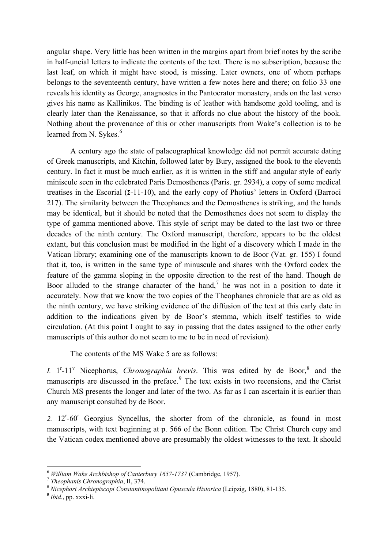angular shape. Very little has been written in the margins apart from brief notes by the scribe in half-uncial letters to indicate the contents of the text. There is no subscription, because the last leaf, on which it might have stood, is missing. Later owners, one of whom perhaps belongs to the seventeenth century, have written a few notes here and there; on folio 33 one reveals his identity as George, anagnostes in the Pantocrator monastery, ands on the last verso gives his name as Kallinikos. The binding is of leather with handsome gold tooling, and is clearly later than the Renaissance, so that it affords no clue about the history of the book. Nothing about the provenance of this or other manuscripts from Wake's collection is to be learned from N. Sykes.<sup>[6](#page-1-0)</sup>

A century ago the state of palaeographical knowledge did not permit accurate dating of Greek manuscripts, and Kitchin, followed later by Bury, assigned the book to the eleventh century. In fact it must be much earlier, as it is written in the stiff and angular style of early miniscule seen in the celebrated Paris Demosthenes (Paris. gr. 2934), a copy of some medical treatises in the Escorial (Σ-11-10), and the early copy of Photius' letters in Oxford (Barroci 217). The similarity between the Theophanes and the Demosthenes is striking, and the hands may be identical, but it should be noted that the Demosthenes does not seem to display the type of gamma mentioned above. This style of script may be dated to the last two or three decades of the ninth century. The Oxford manuscript, therefore, appears to be the oldest extant, but this conclusion must be modified in the light of a discovery which I made in the Vatican library; examining one of the manuscripts known to de Boor (Vat. gr. 155) I found that it, too, is written in the same type of minuscule and shares with the Oxford codex the feature of the gamma sloping in the opposite direction to the rest of the hand. Though de Boor alluded to the strange character of the hand,<sup>[7](#page-1-1)</sup> he was not in a position to date it accurately. Now that we know the two copies of the Theophanes chronicle that are as old as the ninth century, we have striking evidence of the diffusion of the text at this early date in addition to the indications given by de Boor's stemma, which itself testifies to wide circulation. (At this point I ought to say in passing that the dates assigned to the other early manuscripts of this author do not seem to me to be in need of revision).

The contents of the MS Wake 5 are as follows:

*I.*  $1^r$ -11<sup>v</sup> Nicephorus, *Chronographia brevis*. This was edited by de Boor,<sup>[8](#page-1-2)</sup> and the manuscripts are discussed in the preface.<sup>[9](#page-1-3)</sup> The text exists in two recensions, and the Christ Church MS presents the longer and later of the two. As far as I can ascertain it is earlier than any manuscript consulted by de Boor.

2.  $12^r$ -60<sup>r</sup> Georgius Syncellus, the shorter from of the chronicle, as found in most manuscripts, with text beginning at p. 566 of the Bonn edition. The Christ Church copy and the Vatican codex mentioned above are presumably the oldest witnesses to the text. It should

<span id="page-1-0"></span><sup>6</sup> *William Wake Archbishop of Canterbury 1657-1737* (Cambridge, 1957). 7 *Theophanis Chronographia*, II, 374.

<span id="page-1-2"></span><span id="page-1-1"></span><sup>8</sup> *Nicephori Archiepiscopi Constantinopolitani Opuscula Historica* (Leipzig, 1880), 81-135.

<span id="page-1-3"></span><sup>9</sup> *Ibid*., pp. xxxi-li.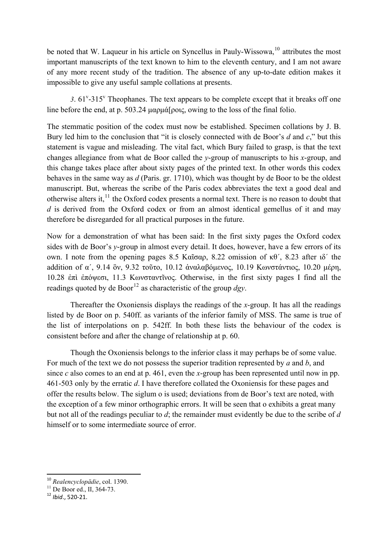be noted that W. Laqueur in his article on Syncellus in Pauly-Wissowa,<sup>[10](#page-2-0)</sup> attributes the most important manuscripts of the text known to him to the eleventh century, and I am not aware of any more recent study of the tradition. The absence of any up-to-date edition makes it impossible to give any useful sample collations at presents.

3.  $61^{\circ}$ -315<sup> $\circ$ </sup> Theophanes. The text appears to be complete except that it breaks off one line before the end, at p. 503.24 μαρμά[ροις, owing to the loss of the final folio.

The stemmatic position of the codex must now be established. Specimen collations by J. B. Bury led him to the conclusion that "it is closely connected with de Boor's *d* and *c*," but this statement is vague and misleading. The vital fact, which Bury failed to grasp, is that the text changes allegiance from what de Boor called the *y*-group of manuscripts to his *x*-group, and this change takes place after about sixty pages of the printed text. In other words this codex behaves in the same way as *d* (Paris. gr. 1710), which was thought by de Boor to be the oldest manuscript. But, whereas the scribe of the Paris codex abbreviates the text a good deal and otherwise alters it,  $\frac{11}{11}$  the Oxford codex presents a normal text. There is no reason to doubt that *d* is derived from the Oxford codex or from an almost identical gemellus of it and may [therefore be disregarded for all practical purposes in the future.](#page-2-1) 

Now for a demonstration of what has been said: In the first sixty pages the Oxford codex sides with de Boor's *y*-group in almost every detail. It does, however, have a few errors of its own. I note from the opening pages 8.5 Καῖσαρ, 8.22 omission of κθʹ, 8.23 after ιδʹ the addition of αʹ, 9.14 ὃν, 9.32 τοῦτο, 10.12 ἀναλαβόμενος, 10.19 Κωνστάντιος, 10.20 μέρη, 10.28 ἐπὶ ἐπόψεσι, 11.3 Κωνσταντῖνος. Otherwise, in the first sixty pages I find all the readings quoted by de Boor<sup>[12](#page-2-2)</sup> as characteristic of the group  $\frac{dgy}{dx}$ .

 Thereafter the Oxoniensis displays the readings of the *x*-group. It has all the readings listed by de Boor on p. 540ff. as variants of the inferior family of MSS. The same is true of the list of interpolations on p. 542ff. In both these lists the behaviour of the codex is consistent before and after the change of relationship at p. 60.

 Though the Oxoniensis belongs to the inferior class it may perhaps be of some value. For much of the text we do not possess the superior tradition represented by *a* and *b*, and since *c* also comes to an end at p. 461, even the *x*-group has been represented until now in pp. 461-503 only by the erratic *d*. I have therefore collated the Oxoniensis for these pages and offer the results below. The siglum o is used; deviations from de Boor's text are noted, with the exception of a few minor orthographic errors. It will be seen that o exhibits a great many but not all of the readings peculiar to *d*; the remainder must evidently be due to the scribe of *d* himself or to some intermediate source of error.

<span id="page-2-0"></span><sup>&</sup>lt;sup>10</sup> *Realencyclopädie*, col. 1390.<br><sup>11</sup> De Boor ed., II, 364-73.

<span id="page-2-2"></span><span id="page-2-1"></span><sup>12</sup> *Ibid*., 520‐21.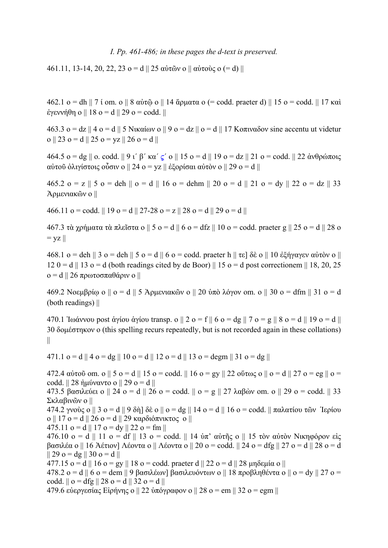### *I. Pp. 461-486; in these pages the d-text is preserved.*

461.11, 13-14, 20, 22, 23  $\sigma$  = d || 25 αὐτῶν o || αὐτοὺς o (= d) ||

462.1 o = dh || 7 ί om. o || 8 αὐτῷ o || 14 ἅρματα o (= codd. praeter d) || 15 o = codd. || 17 καὶ ἐγεννήθη o || 18 o = d || 29 o = codd. ||

463.3 o = dz || 4 o = d || 5 Νικαίων o || 9 o = dz || o = d || 17 Κοπιναδον sine accentu ut videtur o || 23 o = d || 25 o = yz || 26 o = d ||

464.5 o = dg || o. codd. || 9 ι' β' κα' ς' o || 15 o = d || 19 o = dz || 21 o = codd. || 22 ἀνθρώποις αὐτοῦ ὀλιγίστοις οὖσιν o || 24 o = yz || ἐξορίσαι αὐτὸν o || 29 o = d ||

465.2 o = z || 5 o = deh || o = d || 16 o = dehm || 20 o = d || 21 o = dy || 22 o = dz || 33 Ἀρμενιακῶν o ||

466.11 o = codd. || 19 o = d || 27-28 o = z || 28 o = d || 29 o = d ||

467.3 τὰ χρήματα τὰ πλεῖστα o || 5 o = d || 6 o = dfz || 10 o = codd. praeter g || 25 o = d || 28 o  $=$  yz  $||$ 

468.1 o = deh || 3 o = deh || 5 o = d || 6 o = codd. praeter h || τε] δὲ o || 10 ἐξήγαγεν αὐτὸν o ||  $120 = d \parallel 13$  o = d (both readings cited by de Boor)  $\parallel 15$  o = d post correctionem  $\parallel 18$ , 20, 25 o = d || 26 πρωτοσπαθάριν o ||

469.2 Νοεμβρίω ο  $||$  o = d  $||$  5 Άρμενιακῶν ο  $||$  20 ὑπὸ λόγον om. o  $||$  30 o = dfm  $||$  31 o = d (both readings) ||

470.1 Ἰωάννου post ἁγίου ἀγίου transp. o  $|| 2$  o = f  $|| 6$  o = dg  $|| 7$  o = g  $|| 8$  o = d  $|| 19$  o = d  $||$ 30 δομέστηκον o (this spelling recurs repeatedly, but is not recorded again in these collations) ||

472.4 αὐτοῦ om. o  $|| 5$  o = d  $|| 15$  o = codd.  $|| 16$  o = gy  $|| 22$  οὕτως o  $|| 0 = d || 27$  o = eg  $|| 0 =$ 

471.1 o = d || 4 o = dg || 10 o = d || 12 o = d || 13 o = degm || 31 o = dg ||

473.5 βασιλεύει ο || 24 o = d || 26 o = codd. || o = g || 27 λαβών om. o || 29 o = codd. || 33 Σκλαβινῶν o || 474.2 γνούς ο  $\parallel$  3 o = d  $\parallel$  9 δή] δὲ o  $\parallel$  o = dg  $\parallel$  14 o = d  $\parallel$  16 o = codd.  $\parallel$  παλατίου τῶν Ίερίου o || 17 o = d || 26 o = d || 29 καρδιόπνικτος o || 475.11  $\sigma$  = d || 17  $\sigma$  = dy || 22  $\sigma$  = fm || 476.10 o = d || 11 o = df || 13 o = codd. || 14 ὑπ' αὐτῆς o || 15 τὸν αὐτὸν Νικηφόρον εἰς βασιλέα o || 16 Ἀέτιον] Λέοντα o || Λέοντα o || 20 o = codd. || 24 o = dfg || 27 o = d || 28 o = d  $|| 29$  o = dg  $|| 30$  o = d  $||$ 477.15 o = d || 16 o = gy || 18 o = codd. praeter d || 22 o = d || 28 μηδεμία o || 478.2 o = d || 6 o = dem || 9 βασιλέων] βασιλευόντων o || 18 προβληθέντα o || o = dy || 27 o = codd.  $\|$  o = dfg  $\|$  28 o = d  $\|$  32 o = d  $\|$ 479.6 εὐεργεσίας Εἰρήνης o || 22 ὑπόγραφον o || 28 o = em || 32 o = egm ||

codd.  $|| 28 \text{ n}|| \text{290} = d ||$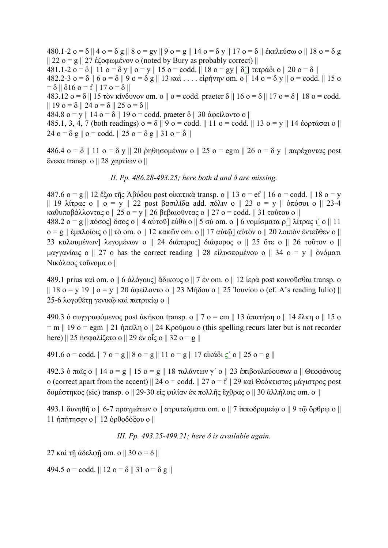480.1-2 o = δ || 4 o = δ g || 8 o = gy || 9 o = g || 14 o = δ y || 17 o = δ || ἐκελεύσω o || 18 o = δ g || 22 o = g || 27 ἐζοφωμένον o (noted by Bury as probably correct) || 481.1-2 o = δ || 11 o = δ y || o = y || 15 o = codd. || 18 o = gy || δ'|| τετράδι o || 20 o = δ || 482.2-3  $o = δ \parallel 6$   $o = δ \parallel 9$   $o = δ$  g  $\parallel$  13 καὶ . . . . εἰρήνην om. o  $\parallel$  14  $o = δ$  y  $\parallel$  o = codd.  $\parallel$  15 o  $= \delta || \delta 16$  o = f || 17 o =  $\delta ||$ 483.12 o = δ || 15 τὸν κίνδυνον om. o || o = codd. praeter δ || 16 o = δ || 17 o = δ || 18 o = codd.  $|| 19$   $o = \delta || 24$   $o = \delta || 25$   $o = \delta ||$ 484.8 o = y || 14 o = δ || 19 o = codd. praeter δ || 30 ἀφείλοντο o || 485.1, 3, 4, 7 (both readings)  $o = δ \parallel 9$   $o = codd$ .  $\parallel 11$   $o = codd$ .  $\parallel 13$   $o = y \parallel 14$  έορτάσαι o  $\parallel$ 24 o =  $\delta$  g || o = codd. || 25 o =  $\delta$  g || 31 o =  $\delta$  ||

486.4 o = δ || 11 o = δ y || 20 ῥηθησομένων o || 25 o = egm || 26 o = δ y || παρέχοντας post ἕνεκα transp. o || 28 χαρτίων o ||

*II. Pp. 486.28-493.25; here both d and δ are missing.*

487.6  $o = g \parallel 12$  ἔξω τῆς Ἀβύδου post οἰκετικὰ transp. o  $\parallel 13$   $o = ef \parallel 16$   $o = codd$ .  $\parallel 18$   $o = y$ || 19 λίτρας o || o = y || 22 post βασιλίδα add. πόλιν o || 23 o = y || ὁπόσοι o || 23-4 καθυποβάλλοντας o || 25 o = y || 26 βεβαιοῦντας o || 27 o = codd. || 31 τούτου o || 488.2 o = g || πόσος] ὅσος o || 4 αὐτοῦ] εὐθὺ o || 5 σὺ om. o || 6 νομίσματα ρ'] λίτρας ι' o || 11  $o = g \parallel \dot{\varepsilon}$ μπλοίοις  $o \parallel \tau \dot{o}$  om. o  $\parallel$  12 κακῶν om. o  $\parallel$  17 αὐτῶ $\parallel$  αὐτὸν o  $\parallel$  20 λοιπὸν ἐντεῦθεν o  $\parallel$ 23 καλουμένων] λεγομένων ο  $\parallel$  24 διάπυρος] διάφορος ο  $\parallel$  25 ὅτε ο  $\parallel$  26 τοῦτον ο  $\parallel$ μαγγανίαις o || 27 o has the correct reading || 28 εἰλυσπομένου o || 34 o = y || ὀνόματι Νικόλαος τοὔνομα o ||

489.1 prius καὶ om. o || 6 ἀλόγους] ἄδικους o || 7 ἐν om. o || 12 ἱερὰ post κοινοῦσθαι transp. o  $|| 18$  o = y 19  $||$  o = y  $|| 20$  ἀφείλοντο o  $|| 23$  Μήδου o  $|| 25$  Ίουνίου o (cf. A's reading Iulio)  $||$ 25-6 λογοθέτη γενικῷ καὶ πατρικίω o ||

490.3 ὁ συγγραφόμενος post ἀκήκοα transp. o  $|| 7$  o = em  $|| 13$  ἀπατήση o  $|| 14$  ἕλκη o  $|| 15$  o  $=$  m || 19 o = egm || 21 ήπείλη o || 24 Κρούμου o (this spelling recurs later but is not recorder here)  $\parallel$  25 ήσφαλίζετο o  $\parallel$  29 έν οἶς o  $\parallel$  32 o = g  $\parallel$ 

491.6 o = codd. || 7 o = g || 8 o = g || 11 o = g || 17 εἰκάδι  $\leq'$  o || 25 o = g ||

492.3 ὁ παῖς o || 14 o = g || 15 o = g || 18 ταλάντων γʹ o || 23 ἐπιβουλεύουσαν o || Θεοφάνους o (correct apart from the accent)  $\parallel$  24 o = codd.  $\parallel$  27 o = f $\parallel$  29 καὶ Θεόκτιστος μάγιστρος post δομέστηκος (sic) transp. o || 29-30 εἰς φιλίαν ἐκ πολλῆς ἔχθρας o || 30 ἀλλήλοις om. o ||

493.1 δυνηθῆ o  $|| 6-7 \pi$ ραγμάτων o  $|| \sigma$ τρατεύματα om. o  $|| 7 \pi \pi$ οδρομείω o  $|| 9 \pi \tilde{\omega}$  ὄρθρω o  $||$ 11 ήπήτησεν ο  $\parallel$  12 ορθοδόξου ο  $\parallel$ 

*III. Pp. 493.25-499.21; here δ is available again.*

27 καὶ τῆ ἀδελφῆ om. o  $||30$  o = δ  $||$ 

494.5 o = codd. || 12 o =  $\delta$  || 31 o =  $\delta$  g ||